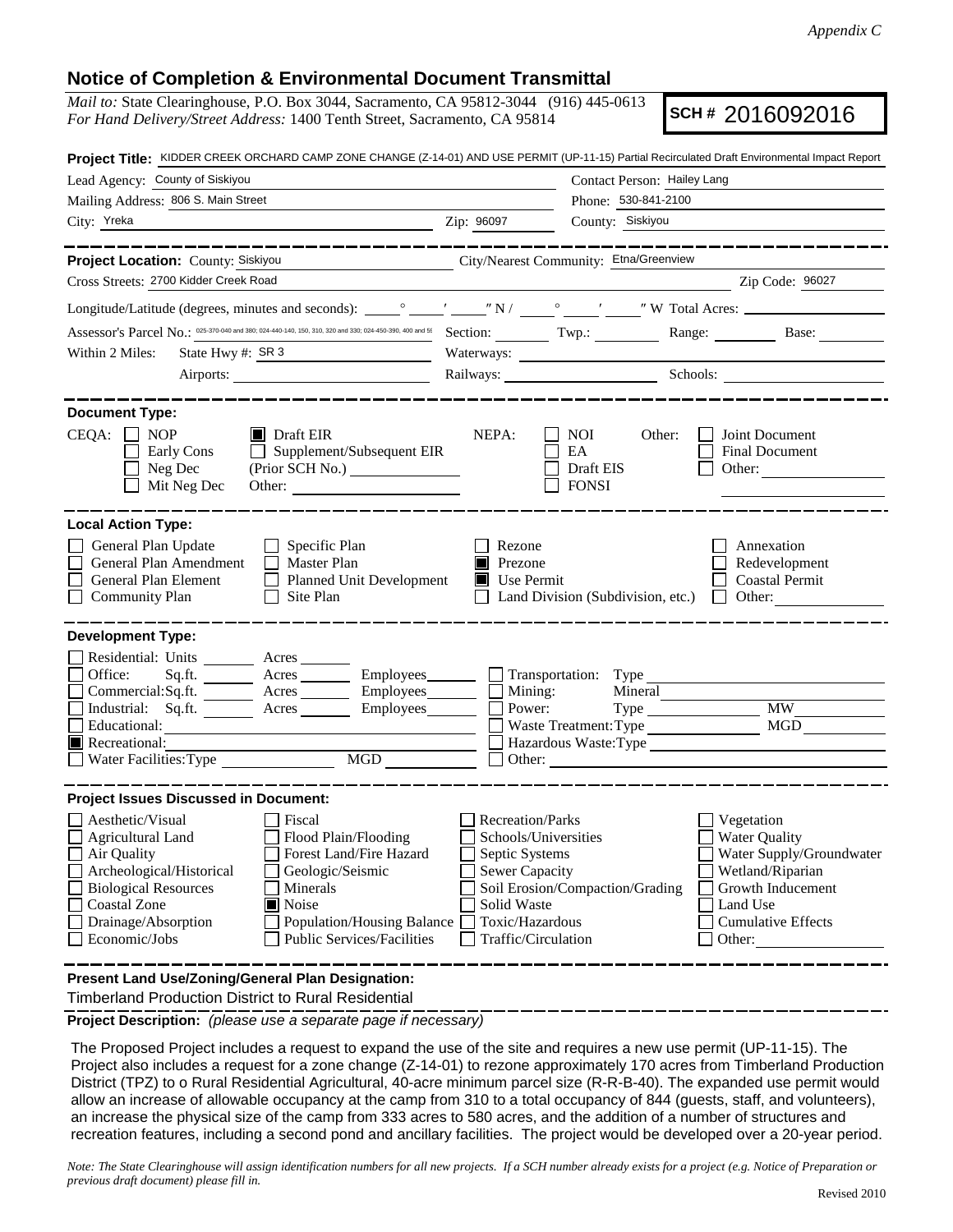## **Notice of Completion & Environmental Document Transmittal**

*Mail to:* State Clearinghouse, P.O. Box 3044, Sacramento, CA 95812-3044 (916) 445-0613 *For Hand Delivery/Street Address:* 1400 Tenth Street, Sacramento, CA 95814

**SCH #** 2016092016

| Project Title: KIDDER CREEK ORCHARD CAMP ZONE CHANGE (Z-14-01) AND USE PERMIT (UP-11-15) Partial Recirculated Draft Environmental Impact Report                                                                                                                                                                                                                               |                                                                                                                                              |                                                                                                                                                                                                                                |                                                                                                                                                     |  |
|-------------------------------------------------------------------------------------------------------------------------------------------------------------------------------------------------------------------------------------------------------------------------------------------------------------------------------------------------------------------------------|----------------------------------------------------------------------------------------------------------------------------------------------|--------------------------------------------------------------------------------------------------------------------------------------------------------------------------------------------------------------------------------|-----------------------------------------------------------------------------------------------------------------------------------------------------|--|
| Lead Agency: County of Siskiyou                                                                                                                                                                                                                                                                                                                                               | Contact Person: Hailey Lang                                                                                                                  |                                                                                                                                                                                                                                |                                                                                                                                                     |  |
| Mailing Address: 806 S. Main Street                                                                                                                                                                                                                                                                                                                                           |                                                                                                                                              | Phone: 530-841-2100                                                                                                                                                                                                            |                                                                                                                                                     |  |
| City: Yreka<br><u> 1989 - Johann Harry Harry Harry Harry Harry Harry Harry Harry Harry Harry Harry Harry Harry Harry Harry Harry</u>                                                                                                                                                                                                                                          | Zip: 96097                                                                                                                                   | County: Siskiyou                                                                                                                                                                                                               |                                                                                                                                                     |  |
| __________                                                                                                                                                                                                                                                                                                                                                                    |                                                                                                                                              |                                                                                                                                                                                                                                |                                                                                                                                                     |  |
| Project Location: County: Siskiyou<br>City/Nearest Community: Etna/Greenview                                                                                                                                                                                                                                                                                                  |                                                                                                                                              |                                                                                                                                                                                                                                |                                                                                                                                                     |  |
| Cross Streets: 2700 Kidder Creek Road                                                                                                                                                                                                                                                                                                                                         |                                                                                                                                              |                                                                                                                                                                                                                                | Zip Code: 96027                                                                                                                                     |  |
|                                                                                                                                                                                                                                                                                                                                                                               |                                                                                                                                              |                                                                                                                                                                                                                                |                                                                                                                                                     |  |
|                                                                                                                                                                                                                                                                                                                                                                               |                                                                                                                                              |                                                                                                                                                                                                                                |                                                                                                                                                     |  |
| State Hwy #: SR 3<br>Within 2 Miles:                                                                                                                                                                                                                                                                                                                                          |                                                                                                                                              |                                                                                                                                                                                                                                |                                                                                                                                                     |  |
|                                                                                                                                                                                                                                                                                                                                                                               |                                                                                                                                              | Railways: Schools: Schools: Charles Schools: Charles Schools: Charles Schools: Charles Schools: Charles Schools: Charles Schools: Charles Schools: Charles Schools: Charles Schools: Charles Schools: Charles Schools: Charles |                                                                                                                                                     |  |
| <b>Document Type:</b>                                                                                                                                                                                                                                                                                                                                                         |                                                                                                                                              |                                                                                                                                                                                                                                |                                                                                                                                                     |  |
| $CEQA: \Box NP$<br>$\blacksquare$ Draft EIR<br>$\Box$ Supplement/Subsequent EIR<br>Early Cons<br>Neg Dec<br>Mit Neg Dec                                                                                                                                                                                                                                                       | NEPA:                                                                                                                                        | NOI<br>Other:<br>EA<br>Draft EIS<br><b>FONSI</b>                                                                                                                                                                               | Joint Document<br><b>Final Document</b><br>Other:                                                                                                   |  |
| <b>Local Action Type:</b><br>General Plan Update<br>$\Box$ Specific Plan<br>General Plan Amendment<br>$\Box$ Master Plan<br>General Plan Element<br>Planned Unit Development<br><b>Community Plan</b><br>$\Box$ Site Plan                                                                                                                                                     | Rezone<br><b>Prezone</b><br>$\blacksquare$ Use Permit                                                                                        | Land Division (Subdivision, etc.) $\Box$                                                                                                                                                                                       | Annexation<br>Redevelopment<br><b>Coastal Permit</b><br>Other:                                                                                      |  |
| <b>Development Type:</b><br>Residential: Units ________ Acres _______<br>Office:<br>Sq.ft. ________ Acres __________ Employees__________ $\Box$<br>Commercial:Sq.ft. ________ Acres ________ Employees_______ $\Box$<br>Acres _________ Employees________<br>Industrial: Sq.ft.<br>Educational:<br>Recreational:<br>$\underline{\text{MGD}}$<br>$\Box$ Water Facilities: Type | Mining:<br>Power:                                                                                                                            | Transportation: Type<br>Mineral<br>Type<br>Waste Treatment: Type<br>Hazardous Waste:Type<br>$\Box$ Other: $\Box$                                                                                                               | $\overline{\text{MW}}$<br>MGD                                                                                                                       |  |
| <b>Project Issues Discussed in Document:</b>                                                                                                                                                                                                                                                                                                                                  |                                                                                                                                              |                                                                                                                                                                                                                                |                                                                                                                                                     |  |
| Aesthetic/Visual<br>$\Box$ Fiscal<br>$\Box$ Agricultural Land<br>Flood Plain/Flooding<br>Forest Land/Fire Hazard<br>Air Quality<br>Archeological/Historical<br>Geologic/Seismic<br><b>Biological Resources</b><br>Minerals<br><b>Coastal Zone</b><br>Noise<br>Drainage/Absorption<br>Population/Housing Balance<br>Economic/Jobs<br>Public Services/Facilities                | Recreation/Parks<br>Schools/Universities<br>Septic Systems<br><b>Sewer Capacity</b><br>Solid Waste<br>Toxic/Hazardous<br>Traffic/Circulation | Soil Erosion/Compaction/Grading                                                                                                                                                                                                | Vegetation<br>Water Quality<br>Water Supply/Groundwater<br>Wetland/Riparian<br>Growth Inducement<br>Land Use<br><b>Cumulative Effects</b><br>Other: |  |
| Present Land Use/Zoning/General Plan Designation:                                                                                                                                                                                                                                                                                                                             |                                                                                                                                              |                                                                                                                                                                                                                                |                                                                                                                                                     |  |

Timberland Production District to Rural Residential

**Project Description:** *(please use a separate page if necessary)*

 The Proposed Project includes a request to expand the use of the site and requires a new use permit (UP-11-15). The Project also includes a request for a zone change (Z-14-01) to rezone approximately 170 acres from Timberland Production District (TPZ) to o Rural Residential Agricultural, 40-acre minimum parcel size (R-R-B-40). The expanded use permit would allow an increase of allowable occupancy at the camp from 310 to a total occupancy of 844 (guests, staff, and volunteers), an increase the physical size of the camp from 333 acres to 580 acres, and the addition of a number of structures and recreation features, including a second pond and ancillary facilities. The project would be developed over a 20-year period.

*Note: The State Clearinghouse will assign identification numbers for all new projects. If a SCH number already exists for a project (e.g. Notice of Preparation or previous draft document) please fill in.*